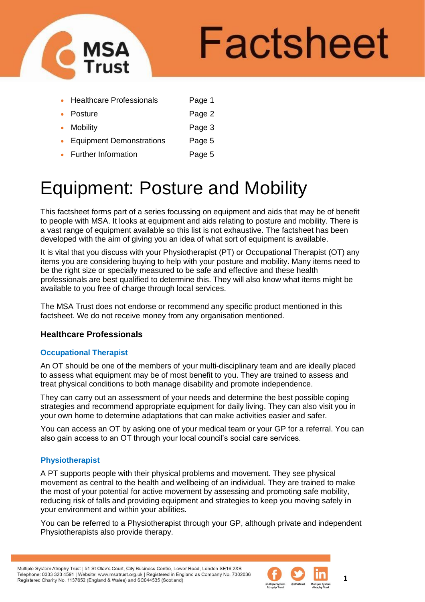

# Factsheet

| • Healthcare Professionals | Page 1 |
|----------------------------|--------|
| • Posture                  | Page 2 |
| • Mobility                 | Page 3 |
| • Equipment Demonstrations | Page 5 |
| • Further Information      | Page 5 |

# Equipment: Posture and Mobility

This factsheet forms part of a series focussing on equipment and aids that may be of benefit to people with MSA. It looks at equipment and aids relating to posture and mobility. There is a vast range of equipment available so this list is not exhaustive. The factsheet has been developed with the aim of giving you an idea of what sort of equipment is available.

It is vital that you discuss with your Physiotherapist (PT) or Occupational Therapist (OT) any items you are considering buying to help with your posture and mobility. Many items need to be the right size or specially measured to be safe and effective and these health professionals are best qualified to determine this. They will also know what items might be available to you free of charge through local services.

The MSA Trust does not endorse or recommend any specific product mentioned in this factsheet. We do not receive money from any organisation mentioned.

# **Healthcare Professionals**

# **Occupational Therapist**

An OT should be one of the members of your multi-disciplinary team and are ideally placed to assess what equipment may be of most benefit to you. They are trained to assess and treat physical conditions to both manage disability and promote independence.

They can carry out an assessment of your needs and determine the best possible coping strategies and recommend appropriate equipment for daily living. They can also visit you in your own home to determine adaptations that can make activities easier and safer.

You can access an OT by asking one of your medical team or your GP for a referral. You can also gain access to an OT through your local council's social care services.

# **Physiotherapist**

A PT supports people with their physical problems and movement. They see physical movement as central to the health and wellbeing of an individual. They are trained to make the most of your potential for active movement by assessing and promoting safe mobility, reducing risk of falls and providing equipment and strategies to keep you moving safely in your environment and within your abilities.

You can be referred to a Physiotherapist through your GP, although private and independent Physiotherapists also provide therapy.

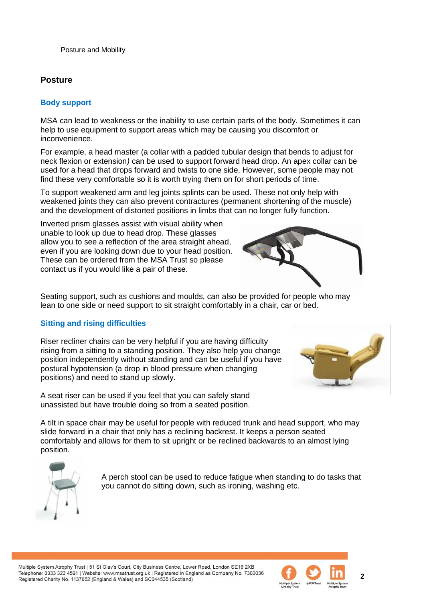# **Posture**

# **Body support**

MSA can lead to weakness or the inability to use certain parts of the body. Sometimes it can help to use equipment to support areas which may be causing you discomfort or inconvenience.

For example, a head master (a collar with a padded tubular design that bends to adjust for neck flexion or extension*)* can be used to support forward head drop. An apex collar can be used for a head that drops forward and twists to one side. However, some people may not find these very comfortable so it is worth trying them on for short periods of time.

To support weakened arm and leg joints splints can be used. These not only help with weakened joints they can also prevent contractures (permanent shortening of the muscle) and the development of distorted positions in limbs that can no longer fully function.

Inverted prism glasses assist with visual ability when unable to look up due to head drop. These glasses allow you to see a reflection of the area straight ahead, even if you are looking down due to your head position. These can be ordered from the MSA Trust so please contact us if you would like a pair of these.

Seating support, such as cushions and moulds, can also be provided for people who may lean to one side or need support to sit straight comfortably in a chair, car or bed.

## **Sitting and rising difficulties**

Riser recliner chairs can be very helpful if you are having difficulty rising from a sitting to a standing position. They also help you change position independently without standing and can be useful if you have postural hypotension (a drop in blood pressure when changing positions) and need to stand up slowly.

A seat riser can be used if you feel that you can safely stand unassisted but have trouble doing so from a seated position.

A tilt in space chair may be useful for people with reduced trunk and head support, who may slide forward in a chair that only has a reclining backrest. It keeps a person seated comfortably and allows for them to sit upright or be reclined backwards to an almost lying position.

you cannot do sitting down, such as ironing, washing etc.

A perch stool can be used to reduce fatigue when standing to do tasks that





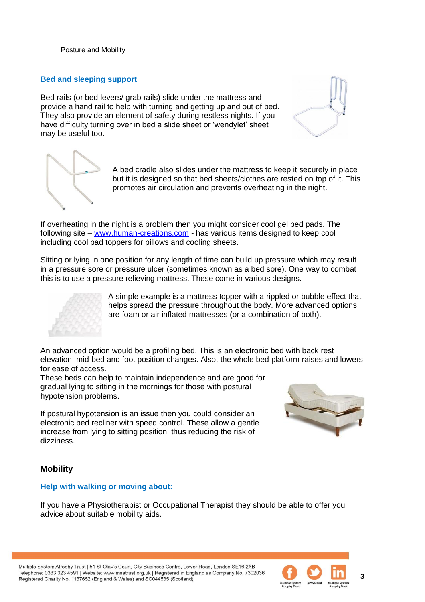# **Bed and sleeping support**

Bed rails (or bed levers/ grab rails) slide under the mattress and provide a hand rail to help with turning and getting up and out of bed. They also provide an element of safety during restless nights. If you have difficulty turning over in bed a slide sheet or 'wendylet' sheet may be useful too.





A bed cradle also slides under the mattress to keep it securely in place but it is designed so that bed sheets/clothes are rested on top of it. This promotes air circulation and prevents overheating in the night.

If overheating in the night is a problem then you might consider cool gel bed pads. The following site – [www.human-creations.com](http://www.human-creations.com/) - has various items designed to keep cool including cool pad toppers for pillows and cooling sheets.

Sitting or lying in one position for any length of time can build up pressure which may result in a pressure sore or pressure ulcer (sometimes known as a bed sore). One way to combat this is to use a pressure relieving mattress. These come in various designs.



A simple example is a mattress topper with a rippled or bubble effect that helps spread the pressure throughout the body. More advanced options are foam or air inflated mattresses (or a combination of both).

An advanced option would be a profiling bed. This is an electronic bed with back rest elevation, mid-bed and foot position changes. Also, the whole bed platform raises and lowers for ease of access.

These beds can help to maintain independence and are good for gradual lying to sitting in the mornings for those with postural hypotension problems.

If postural hypotension is an issue then you could consider an electronic bed recliner with speed control. These allow a gentle increase from lying to sitting position, thus reducing the risk of dizziness.



# **Mobility**

## **Help with walking or moving about:**

If you have a Physiotherapist or Occupational Therapist they should be able to offer you advice about suitable mobility aids.

Multiple System Atrophy Trust | 51 St Olay's Court, City Business Centre, Lower Road, London SE16 2XB Telephone: 0333 323 4591 | Website: www.msatrust.org.uk | Registered in England as Company No. 7302036 Registered Charity No. 1137652 (England & Wales) and SC044535 (Scotland)

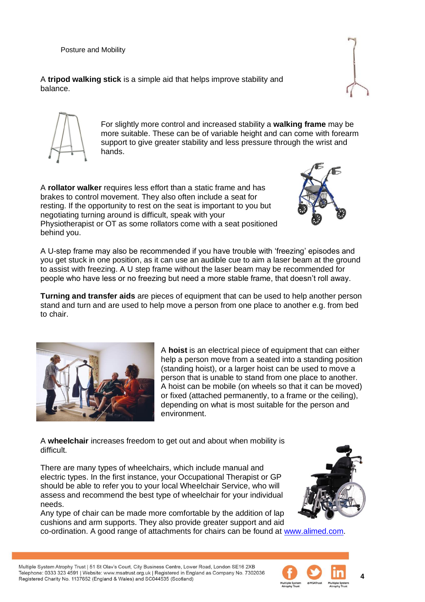A **tripod walking stick** is a simple aid that helps improve stability and balance.





For slightly more control and increased stability a **walking frame** may be more suitable. These can be of variable height and can come with forearm support to give greater stability and less pressure through the wrist and hands.

A **rollator walker** requires less effort than a static frame and has brakes to control movement. They also often include a seat for resting. If the opportunity to rest on the seat is important to you but negotiating turning around is difficult, speak with your Physiotherapist or OT as some rollators come with a seat positioned behind you.



A U-step frame may also be recommended if you have trouble with 'freezing' episodes and you get stuck in one position, as it can use an audible cue to aim a laser beam at the ground to assist with freezing. A U step frame without the laser beam may be recommended for people who have less or no freezing but need a more stable frame, that doesn't roll away.

**Turning and transfer aids** are pieces of equipment that can be used to help another person stand and turn and are used to help move a person from one place to another e.g. from bed to chair.



A **hoist** is an electrical piece of equipment that can either help a person move from a seated into a standing position (standing hoist), or a larger hoist can be used to move a person that is unable to stand from one place to another. A hoist can be mobile (on wheels so that it can be moved) or fixed (attached permanently, to a frame or the ceiling), depending on what is most suitable for the person and environment.

A **wheelchair** increases freedom to get out and about when mobility is difficult.

There are many types of wheelchairs, which include manual and electric types. In the first instance, your Occupational Therapist or GP should be able to refer you to your local Wheelchair Service, who will assess and recommend the best type of wheelchair for your individual needs.

Any type of chair can be made more comfortable by the addition of lap cushions and arm supports. They also provide greater support and aid co-ordination. A good range of attachments for chairs can be found at [www.alimed.com.](http://www.alimed.com/)





**4**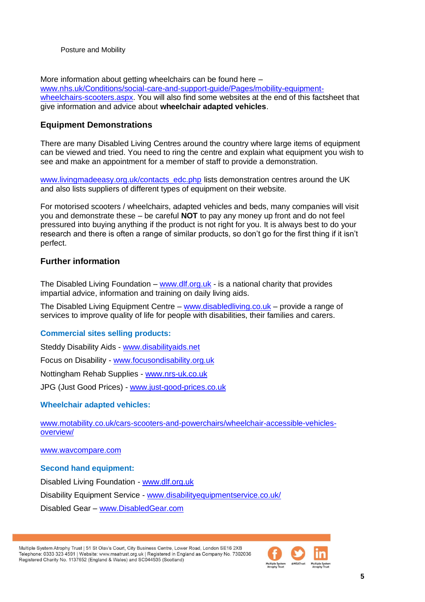More information about getting wheelchairs can be found here – [www.nhs.uk/Conditions/social-care-and-support-guide/Pages/mobility-equipment](http://www.nhs.uk/Conditions/social-care-and-support-guide/Pages/mobility-equipment-wheelchairs-scooters.aspx)[wheelchairs-scooters.aspx. Y](http://www.nhs.uk/Conditions/social-care-and-support-guide/Pages/mobility-equipment-wheelchairs-scooters.aspx)ou will also find some websites at the end of this factsheet that give information and advice about **wheelchair adapted vehicles**.

# **Equipment Demonstrations**

There are many Disabled Living Centres around the country where large items of equipment can be viewed and tried. You need to ring the centre and explain what equipment you wish to see and make an appointment for a member of staff to provide a demonstration.

[www.livingmadeeasy.org.uk/contacts\\_edc.php](http://www.livingmadeeasy.org.uk/contacts_edc.php) lists demonstration centres around the UK and also lists suppliers of different types of equipment on their website.

For motorised scooters / wheelchairs, adapted vehicles and beds, many companies will visit you and demonstrate these – be careful **NOT** to pay any money up front and do not feel pressured into buying anything if the product is not right for you. It is always best to do your research and there is often a range of similar products, so don't go for the first thing if it isn't perfect.

# **Further information**

The Disabled Living Foundation – [www.dlf.org.uk](http://www.dlf.org.uk/) - is a national charity that provides impartial advice, information and training on daily living aids.

The Disabled Living Equipment Centre – [www.disabledliving.co.uk](http://www.disabledliving.co.uk/) – provide a range of services to improve quality of life for people with disabilities, their families and carers.

## **Commercial sites selling products:**

Steddy Disability Aids - [www.disabilityaids.net](http://www.disabilityaids.net/)

Focus on Disability - [www.focusondisability.org.uk](http://www.focusondisability.org.uk/)

Nottingham Rehab Supplies - [www.nrs-uk.co.uk](http://www.nrs-uk.co.uk/)

JPG (Just Good Prices) - [www.just-good-prices.co.uk](http://www.just-good-prices.co.uk/)

## **Wheelchair adapted vehicles:**

[www.motability.co.uk/cars-scooters-and-powerchairs/wheelchair-accessible-vehicles](http://www.motability.co.uk/cars-scooters-and-powerchairs/wheelchair-accessible-vehicles-overview/)[overview/](http://www.motability.co.uk/cars-scooters-and-powerchairs/wheelchair-accessible-vehicles-overview/)

#### [www.wavcompare.com](http://www.wavcompare.com/)

## **Second hand equipment:**

Disabled Living Foundation - [www.dlf.org.uk](http://www.dlf.org.uk/) Disability Equipment Service - [www.disabilityequipmentservice.co.uk/](http://www.disabilityequipmentservice.co.uk/) Disabled Gear – [www.DisabledGear.com](http://www.disabledgear.com/)